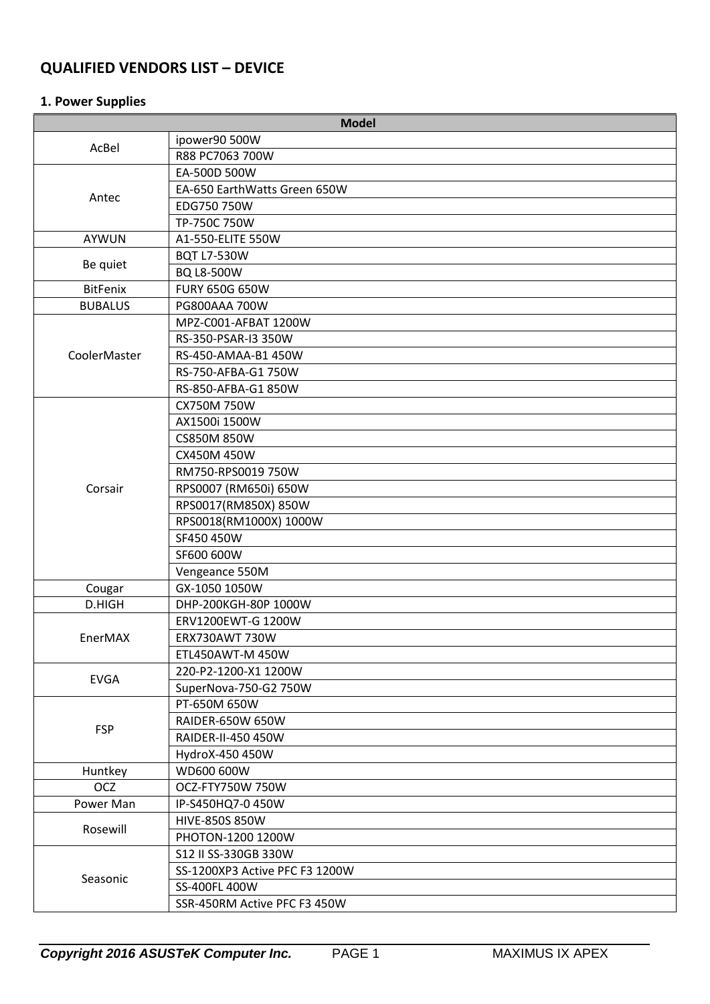# **QUALIFIED VENDORS LIST – DEVICE**

# **1. Power Supplies**

| <b>Model</b>    |                                |  |  |
|-----------------|--------------------------------|--|--|
| AcBel           | ipower90 500W                  |  |  |
|                 | R88 PC7063 700W                |  |  |
|                 | EA-500D 500W                   |  |  |
|                 | EA-650 EarthWatts Green 650W   |  |  |
| Antec           | EDG750 750W                    |  |  |
|                 | TP-750C 750W                   |  |  |
| <b>AYWUN</b>    | A1-550-ELITE 550W              |  |  |
|                 | <b>BQT L7-530W</b>             |  |  |
| Be quiet        | BQ L8-500W                     |  |  |
| <b>BitFenix</b> | <b>FURY 650G 650W</b>          |  |  |
| <b>BUBALUS</b>  | PG800AAA 700W                  |  |  |
|                 | MPZ-C001-AFBAT 1200W           |  |  |
|                 | RS-350-PSAR-I3 350W            |  |  |
| CoolerMaster    | RS-450-AMAA-B1 450W            |  |  |
|                 | RS-750-AFBA-G1 750W            |  |  |
|                 | RS-850-AFBA-G1 850W            |  |  |
|                 | CX750M 750W                    |  |  |
|                 | AX1500i 1500W                  |  |  |
|                 | <b>CS850M 850W</b>             |  |  |
|                 | CX450M 450W                    |  |  |
|                 | RM750-RPS0019 750W             |  |  |
| Corsair         | RPS0007 (RM650i) 650W          |  |  |
|                 | RPS0017(RM850X) 850W           |  |  |
|                 | RPS0018(RM1000X) 1000W         |  |  |
|                 | SF450 450W                     |  |  |
|                 | SF600 600W                     |  |  |
|                 | Vengeance 550M                 |  |  |
| Cougar          | GX-1050 1050W                  |  |  |
| D.HIGH          | DHP-200KGH-80P 1000W           |  |  |
|                 | ERV1200EWT-G 1200W             |  |  |
| EnerMAX         | <b>ERX730AWT 730W</b>          |  |  |
|                 | ETL450AWT-M 450W               |  |  |
| <b>EVGA</b>     | 220-P2-1200-X1 1200W           |  |  |
|                 | SuperNova-750-G2 750W          |  |  |
|                 | PT-650M 650W                   |  |  |
| <b>FSP</b>      | RAIDER-650W 650W               |  |  |
|                 | RAIDER-II-450 450W             |  |  |
|                 | HydroX-450 450W                |  |  |
| Huntkey         | WD600 600W                     |  |  |
| <b>OCZ</b>      | OCZ-FTY750W 750W               |  |  |
| Power Man       | IP-S450HQ7-0 450W              |  |  |
| Rosewill        | <b>HIVE-850S 850W</b>          |  |  |
|                 | PHOTON-1200 1200W              |  |  |
|                 | S12 II SS-330GB 330W           |  |  |
| Seasonic        | SS-1200XP3 Active PFC F3 1200W |  |  |
|                 | SS-400FL 400W                  |  |  |
|                 | SSR-450RM Active PFC F3 450W   |  |  |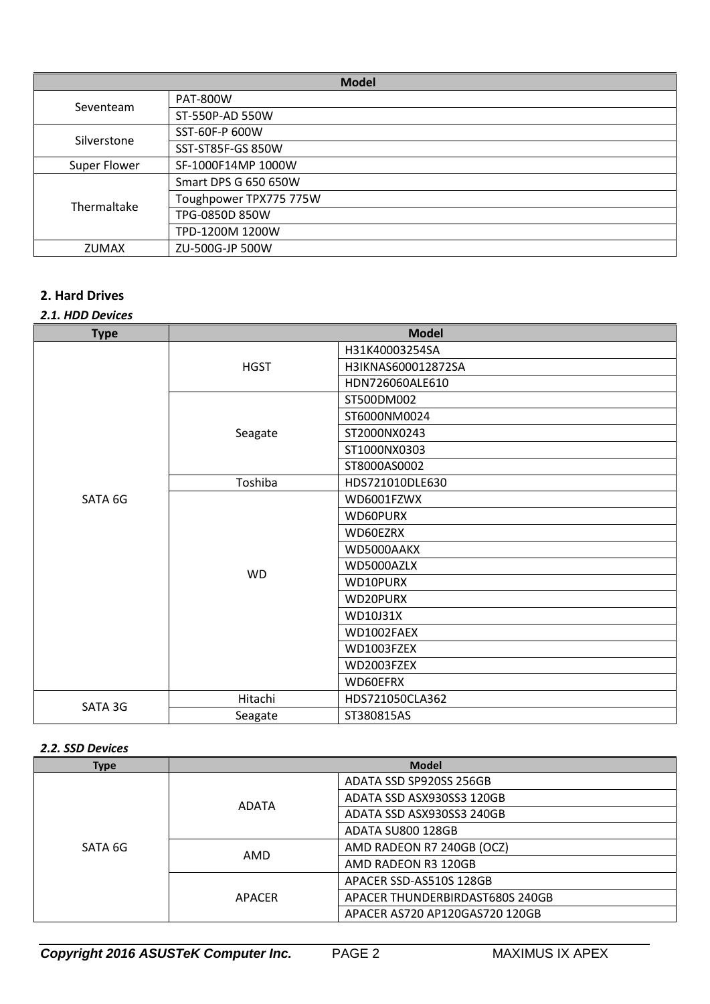| <b>Model</b> |                        |  |
|--------------|------------------------|--|
|              | <b>PAT-800W</b>        |  |
| Seventeam    | ST-550P-AD 550W        |  |
| Silverstone  | SST-60F-P 600W         |  |
|              | SST-ST85F-GS 850W      |  |
| Super Flower | SF-1000F14MP 1000W     |  |
|              | Smart DPS G 650 650W   |  |
| Thermaltake  | Toughpower TPX775 775W |  |
|              | TPG-0850D 850W         |  |
|              | TPD-1200M 1200W        |  |
| <b>ZUMAX</b> | ZU-500G-JP 500W        |  |

# **2. Hard Drives**

## *2.1. HDD Devices*

| <b>Type</b> | <b>Model</b> |                    |
|-------------|--------------|--------------------|
|             | <b>HGST</b>  | H31K40003254SA     |
|             |              | H3IKNAS600012872SA |
|             |              | HDN726060ALE610    |
|             |              | ST500DM002         |
|             |              | ST6000NM0024       |
|             | Seagate      | ST2000NX0243       |
|             |              | ST1000NX0303       |
|             |              | ST8000AS0002       |
|             | Toshiba      | HDS721010DLE630    |
| SATA 6G     | <b>WD</b>    | WD6001FZWX         |
|             |              | WD60PURX           |
|             |              | WD60EZRX           |
|             |              | WD5000AAKX         |
|             |              | WD5000AZLX         |
|             |              | WD10PURX           |
|             |              | WD20PURX           |
|             |              | WD10J31X           |
|             |              | WD1002FAEX         |
|             |              | WD1003FZEX         |
|             |              | WD2003FZEX         |
|             |              | WD60EFRX           |
|             | Hitachi      | HDS721050CLA362    |
| SATA 3G     | Seagate      | ST380815AS         |

### *2.2. SSD Devices*

| <b>Type</b> | <b>Model</b> |                                 |
|-------------|--------------|---------------------------------|
|             | <b>ADATA</b> | ADATA SSD SP920SS 256GB         |
|             |              | ADATA SSD ASX930SS3 120GB       |
|             |              | ADATA SSD ASX930SS3 240GB       |
|             |              | ADATA SU800 128GB               |
| SATA 6G     | AMD          | AMD RADEON R7 240GB (OCZ)       |
|             |              | AMD RADEON R3 120GB             |
|             | APACER       | APACER SSD-AS510S 128GB         |
|             |              | APACER THUNDERBIRDAST680S 240GB |
|             |              | APACER AS720 AP120GAS720 120GB  |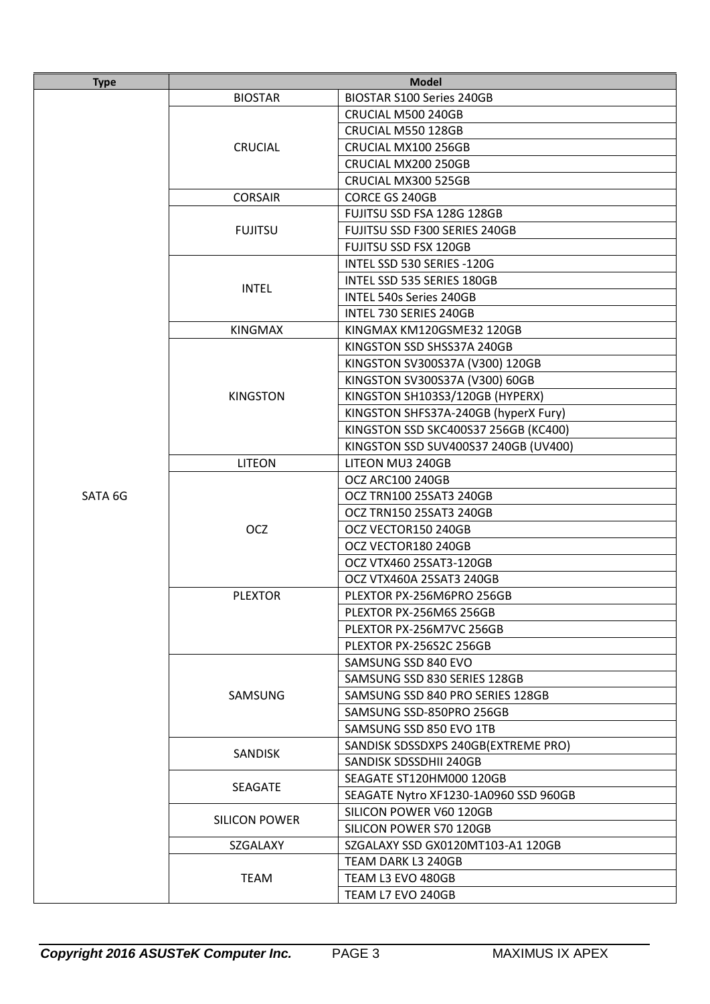| <b>Type</b> | <b>Model</b>    |                                       |
|-------------|-----------------|---------------------------------------|
|             | <b>BIOSTAR</b>  | <b>BIOSTAR S100 Series 240GB</b>      |
|             |                 | CRUCIAL M500 240GB                    |
|             |                 | CRUCIAL M550 128GB                    |
|             | <b>CRUCIAL</b>  | CRUCIAL MX100 256GB                   |
|             |                 | CRUCIAL MX200 250GB                   |
|             |                 | CRUCIAL MX300 525GB                   |
|             | <b>CORSAIR</b>  | CORCE GS 240GB                        |
|             |                 | FUJITSU SSD FSA 128G 128GB            |
|             | <b>FUJITSU</b>  | FUJITSU SSD F300 SERIES 240GB         |
|             |                 | <b>FUJITSU SSD FSX 120GB</b>          |
|             |                 | INTEL SSD 530 SERIES -120G            |
|             | <b>INTEL</b>    | INTEL SSD 535 SERIES 180GB            |
|             |                 | <b>INTEL 540s Series 240GB</b>        |
|             |                 | INTEL 730 SERIES 240GB                |
|             | <b>KINGMAX</b>  | KINGMAX KM120GSME32 120GB             |
|             |                 | KINGSTON SSD SHSS37A 240GB            |
|             |                 | KINGSTON SV300S37A (V300) 120GB       |
|             |                 | KINGSTON SV300S37A (V300) 60GB        |
|             | <b>KINGSTON</b> | KINGSTON SH103S3/120GB (HYPERX)       |
|             |                 | KINGSTON SHFS37A-240GB (hyperX Fury)  |
|             |                 | KINGSTON SSD SKC400S37 256GB (KC400)  |
|             |                 | KINGSTON SSD SUV400S37 240GB (UV400)  |
|             | <b>LITEON</b>   | LITEON MU3 240GB                      |
|             |                 | OCZ ARC100 240GB                      |
| SATA 6G     |                 | OCZ TRN100 25SAT3 240GB               |
|             |                 | OCZ TRN150 25SAT3 240GB               |
|             | <b>OCZ</b>      | OCZ VECTOR150 240GB                   |
|             |                 | OCZ VECTOR180 240GB                   |
|             |                 | OCZ VTX460 25SAT3-120GB               |
|             |                 | OCZ VTX460A 25SAT3 240GB              |
|             | <b>PLEXTOR</b>  | PLEXTOR PX-256M6PRO 256GB             |
|             |                 | PLEXTOR PX-256M6S 256GB               |
|             |                 | PLEXTOR PX-256M7VC 256GB              |
|             |                 | PLEXTOR PX-256S2C 256GB               |
|             |                 | SAMSUNG SSD 840 EVO                   |
|             |                 | SAMSUNG SSD 830 SERIES 128GB          |
|             | SAMSUNG         | SAMSUNG SSD 840 PRO SERIES 128GB      |
|             |                 | SAMSUNG SSD-850PRO 256GB              |
|             |                 | SAMSUNG SSD 850 EVO 1TB               |
|             | <b>SANDISK</b>  | SANDISK SDSSDXPS 240GB(EXTREME PRO)   |
|             |                 | SANDISK SDSSDHII 240GB                |
|             | <b>SEAGATE</b>  | SEAGATE ST120HM000 120GB              |
|             |                 | SEAGATE Nytro XF1230-1A0960 SSD 960GB |
|             | SILICON POWER   | SILICON POWER V60 120GB               |
|             |                 | SILICON POWER S70 120GB               |
|             | SZGALAXY        | SZGALAXY SSD GX0120MT103-A1 120GB     |
|             |                 | TEAM DARK L3 240GB                    |
|             | <b>TEAM</b>     | TEAM L3 EVO 480GB                     |
|             |                 | TEAM L7 EVO 240GB                     |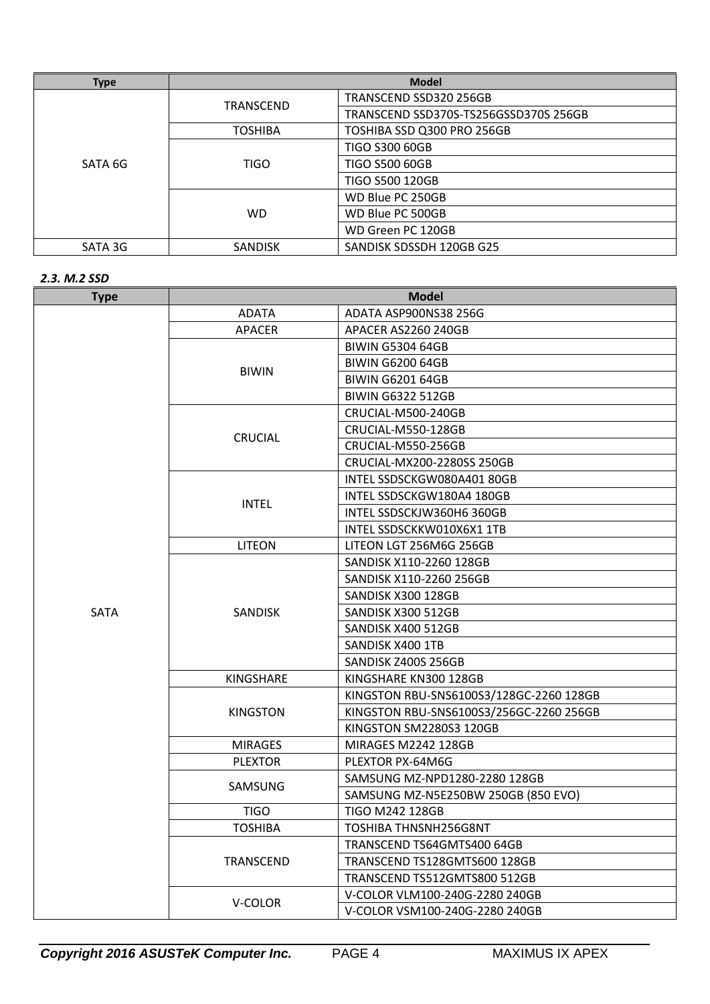| <b>Type</b> | <b>Model</b>     |                                       |
|-------------|------------------|---------------------------------------|
|             | <b>TRANSCEND</b> | TRANSCEND SSD320 256GB                |
|             |                  | TRANSCEND SSD370S-TS256GSSD370S 256GB |
|             | <b>TOSHIBA</b>   | TOSHIBA SSD Q300 PRO 256GB            |
|             | <b>TIGO</b>      | <b>TIGO S300 60GB</b>                 |
| SATA 6G     |                  | <b>TIGO S500 60GB</b>                 |
|             |                  | <b>TIGO S500 120GB</b>                |
|             | <b>WD</b>        | WD Blue PC 250GB                      |
|             |                  | WD Blue PC 500GB                      |
|             |                  | WD Green PC 120GB                     |
| SATA 3G     | <b>SANDISK</b>   | SANDISK SDSSDH 120GB G25              |

#### *2.3. M.2 SSD*

| <b>Type</b> |                 | <b>Model</b>                            |
|-------------|-----------------|-----------------------------------------|
|             | <b>ADATA</b>    | ADATA ASP900NS38 256G                   |
|             | <b>APACER</b>   | APACER AS2260 240GB                     |
|             |                 | <b>BIWIN G5304 64GB</b>                 |
|             | <b>BIWIN</b>    | <b>BIWIN G6200 64GB</b>                 |
|             |                 | <b>BIWIN G6201 64GB</b>                 |
|             |                 | <b>BIWIN G6322 512GB</b>                |
|             |                 | CRUCIAL-M500-240GB                      |
|             | <b>CRUCIAL</b>  | CRUCIAL-M550-128GB                      |
|             |                 | CRUCIAL-M550-256GB                      |
|             |                 | CRUCIAL-MX200-2280SS 250GB              |
|             |                 | INTEL SSDSCKGW080A401 80GB              |
|             | <b>INTEL</b>    | INTEL SSDSCKGW180A4 180GB               |
|             |                 | INTEL SSDSCKJW360H6 360GB               |
|             |                 | INTEL SSDSCKKW010X6X1 1TB               |
|             | <b>LITEON</b>   | LITEON LGT 256M6G 256GB                 |
|             |                 | SANDISK X110-2260 128GB                 |
|             |                 | SANDISK X110-2260 256GB                 |
|             |                 | SANDISK X300 128GB                      |
| <b>SATA</b> | <b>SANDISK</b>  | SANDISK X300 512GB                      |
|             |                 | SANDISK X400 512GB                      |
|             |                 | SANDISK X400 1TB                        |
|             |                 | SANDISK Z400S 256GB                     |
|             | KINGSHARE       | KINGSHARE KN300 128GB                   |
|             |                 | KINGSTON RBU-SNS6100S3/128GC-2260 128GB |
|             | <b>KINGSTON</b> | KINGSTON RBU-SNS6100S3/256GC-2260 256GB |
|             |                 | KINGSTON SM2280S3 120GB                 |
|             | <b>MIRAGES</b>  | <b>MIRAGES M2242 128GB</b>              |
|             | <b>PLEXTOR</b>  | PLEXTOR PX-64M6G                        |
|             | SAMSUNG         | SAMSUNG MZ-NPD1280-2280 128GB           |
|             |                 | SAMSUNG MZ-N5E250BW 250GB (850 EVO)     |
|             | <b>TIGO</b>     | <b>TIGO M242 128GB</b>                  |
|             | <b>TOSHIBA</b>  | TOSHIBA THNSNH256G8NT                   |
|             |                 | TRANSCEND TS64GMTS400 64GB              |
|             | TRANSCEND       | TRANSCEND TS128GMTS600 128GB            |
|             |                 | TRANSCEND TS512GMTS800 512GB            |
|             | V-COLOR         | V-COLOR VLM100-240G-2280 240GB          |
|             |                 | V-COLOR VSM100-240G-2280 240GB          |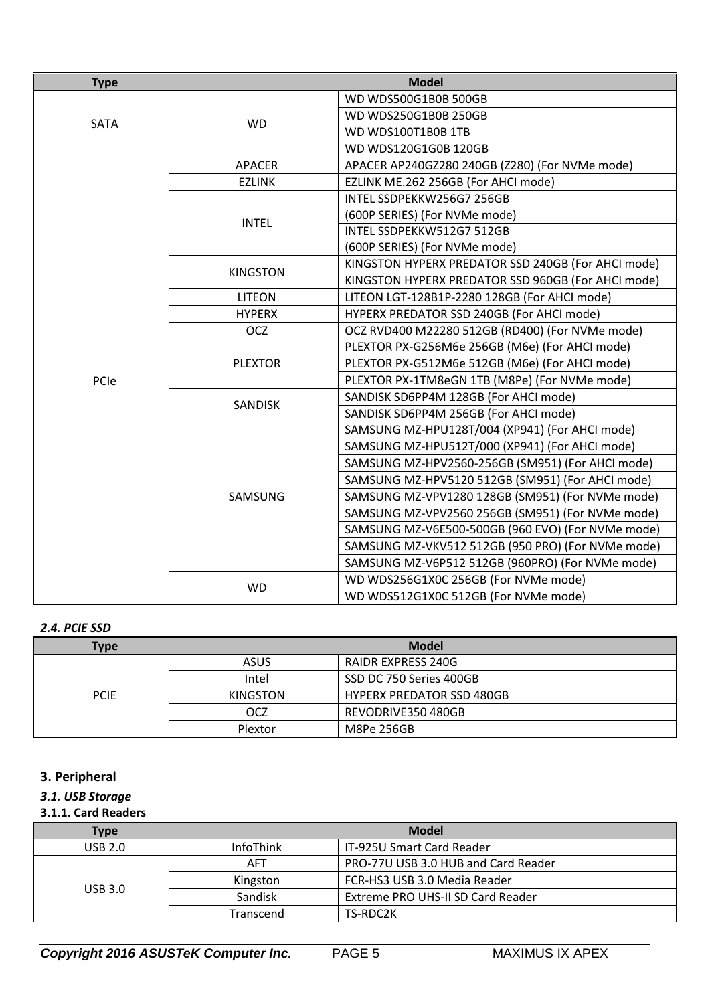| <b>Type</b> | <b>Model</b>    |                                                    |
|-------------|-----------------|----------------------------------------------------|
| SATA        |                 | WD WDS500G1B0B 500GB                               |
|             |                 | WD WDS250G1B0B 250GB                               |
|             | <b>WD</b>       | WD WDS100T1B0B 1TB                                 |
|             |                 | WD WDS120G1G0B 120GB                               |
|             | <b>APACER</b>   | APACER AP240GZ280 240GB (Z280) (For NVMe mode)     |
|             | <b>EZLINK</b>   | EZLINK ME.262 256GB (For AHCI mode)                |
|             |                 | INTEL SSDPEKKW256G7 256GB                          |
|             | <b>INTEL</b>    | (600P SERIES) (For NVMe mode)                      |
|             |                 | INTEL SSDPEKKW512G7 512GB                          |
|             |                 | (600P SERIES) (For NVMe mode)                      |
|             | <b>KINGSTON</b> | KINGSTON HYPERX PREDATOR SSD 240GB (For AHCI mode) |
|             |                 | KINGSTON HYPERX PREDATOR SSD 960GB (For AHCI mode) |
|             | <b>LITEON</b>   | LITEON LGT-128B1P-2280 128GB (For AHCI mode)       |
|             | <b>HYPERX</b>   | HYPERX PREDATOR SSD 240GB (For AHCl mode)          |
|             | <b>OCZ</b>      | OCZ RVD400 M22280 512GB (RD400) (For NVMe mode)    |
|             |                 | PLEXTOR PX-G256M6e 256GB (M6e) (For AHCI mode)     |
|             | <b>PLEXTOR</b>  | PLEXTOR PX-G512M6e 512GB (M6e) (For AHCI mode)     |
| PCIe        |                 | PLEXTOR PX-1TM8eGN 1TB (M8Pe) (For NVMe mode)      |
|             | <b>SANDISK</b>  | SANDISK SD6PP4M 128GB (For AHCI mode)              |
|             |                 | SANDISK SD6PP4M 256GB (For AHCI mode)              |
|             |                 | SAMSUNG MZ-HPU128T/004 (XP941) (For AHCI mode)     |
|             |                 | SAMSUNG MZ-HPU512T/000 (XP941) (For AHCI mode)     |
|             |                 | SAMSUNG MZ-HPV2560-256GB (SM951) (For AHCl mode)   |
|             |                 | SAMSUNG MZ-HPV5120 512GB (SM951) (For AHCl mode)   |
|             | SAMSUNG         | SAMSUNG MZ-VPV1280 128GB (SM951) (For NVMe mode)   |
|             |                 | SAMSUNG MZ-VPV2560 256GB (SM951) (For NVMe mode)   |
|             |                 | SAMSUNG MZ-V6E500-500GB (960 EVO) (For NVMe mode)  |
|             |                 | SAMSUNG MZ-VKV512 512GB (950 PRO) (For NVMe mode)  |
|             |                 | SAMSUNG MZ-V6P512 512GB (960PRO) (For NVMe mode)   |
|             | <b>WD</b>       | WD WDS256G1X0C 256GB (For NVMe mode)               |
|             |                 | WD WDS512G1X0C 512GB (For NVMe mode)               |

### *2.4. PCIE SSD*

| Type        | <b>Model</b>    |                                  |
|-------------|-----------------|----------------------------------|
|             | <b>ASUS</b>     | RAIDR EXPRESS 240G               |
|             | Intel           | SSD DC 750 Series 400GB          |
| <b>PCIE</b> | <b>KINGSTON</b> | <b>HYPERX PREDATOR SSD 480GB</b> |
|             | <b>OCZ</b>      | REVODRIVE350 480GB               |
|             | Plextor         | M8Pe 256GB                       |

# **3. Peripheral**

# *3.1. USB Storage*

#### **3.1.1. Card Readers**

| <b>Type</b>    | <b>Model</b>     |                                     |
|----------------|------------------|-------------------------------------|
| USB 2.0        | <b>InfoThink</b> | IT-925U Smart Card Reader           |
| <b>USB 3.0</b> | <b>AFT</b>       | PRO-77U USB 3.0 HUB and Card Reader |
|                | Kingston         | FCR-HS3 USB 3.0 Media Reader        |
|                | Sandisk          | Extreme PRO UHS-II SD Card Reader   |
|                | Transcend        | TS-RDC2K                            |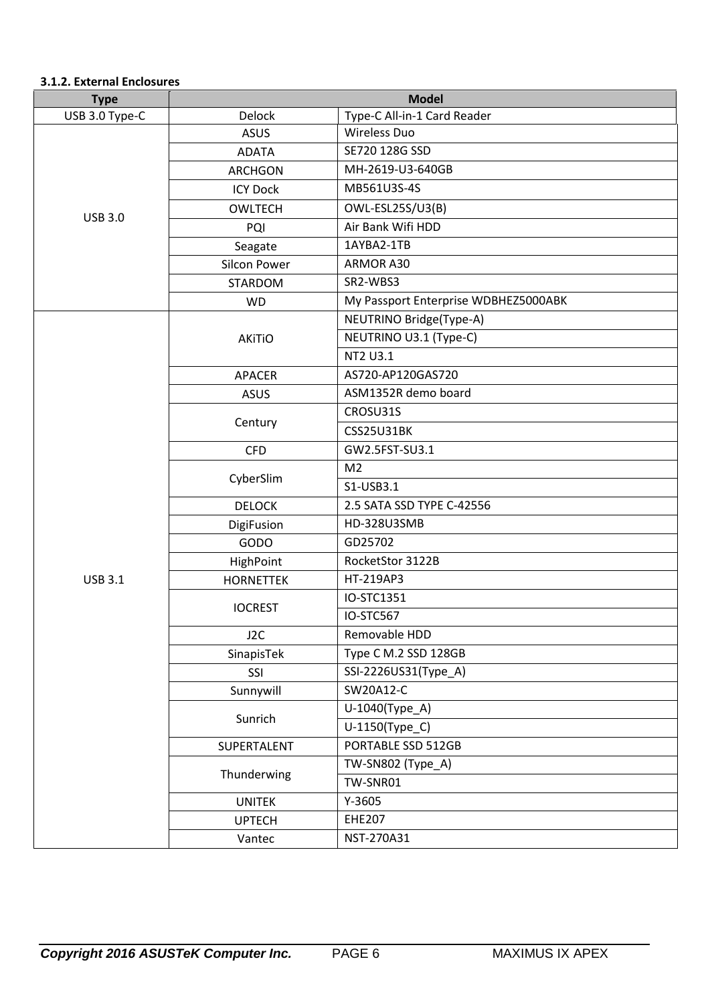### **3.1.2. External Enclosures**

| <b>Type</b>    | <b>Model</b>        |                                      |
|----------------|---------------------|--------------------------------------|
| USB 3.0 Type-C | Delock              | Type-C All-in-1 Card Reader          |
|                | <b>ASUS</b>         | <b>Wireless Duo</b>                  |
|                | <b>ADATA</b>        | SE720 128G SSD                       |
|                | <b>ARCHGON</b>      | MH-2619-U3-640GB                     |
|                | <b>ICY Dock</b>     | MB561U3S-4S                          |
|                | <b>OWLTECH</b>      | OWL-ESL25S/U3(B)                     |
| <b>USB 3.0</b> | PQI                 | Air Bank Wifi HDD                    |
|                | Seagate             | 1AYBA2-1TB                           |
|                | <b>Silcon Power</b> | ARMOR A30                            |
|                | <b>STARDOM</b>      | SR2-WBS3                             |
|                | <b>WD</b>           | My Passport Enterprise WDBHEZ5000ABK |
|                |                     | NEUTRINO Bridge(Type-A)              |
|                | <b>AKiTiO</b>       | NEUTRINO U3.1 (Type-C)               |
|                |                     | NT2 U3.1                             |
|                | <b>APACER</b>       | AS720-AP120GAS720                    |
|                | <b>ASUS</b>         | ASM1352R demo board                  |
|                |                     | CROSU31S                             |
|                | Century             | <b>CSS25U31BK</b>                    |
|                | <b>CFD</b>          | GW2.5FST-SU3.1                       |
|                | CyberSlim           | M <sub>2</sub>                       |
|                |                     | S1-USB3.1                            |
|                | <b>DELOCK</b>       | 2.5 SATA SSD TYPE C-42556            |
|                | DigiFusion          | HD-328U3SMB                          |
|                | GODO                | GD25702                              |
|                | HighPoint           | RocketStor 3122B                     |
| <b>USB 3.1</b> | <b>HORNETTEK</b>    | HT-219AP3                            |
|                | <b>IOCREST</b>      | IO-STC1351                           |
|                |                     | IO-STC567                            |
|                | J <sub>2C</sub>     | Removable HDD                        |
|                | SinapisTek          | Type C M.2 SSD 128GB                 |
|                | SSI                 | SSI-2226US31(Type_A)                 |
|                | Sunnywill           | SW20A12-C                            |
|                | Sunrich             | U-1040(Type_A)                       |
|                |                     | U-1150(Type_C)                       |
|                | SUPERTALENT         | PORTABLE SSD 512GB                   |
|                |                     | TW-SN802 (Type_A)                    |
|                | Thunderwing         | TW-SNR01                             |
|                | <b>UNITEK</b>       | $Y-3605$                             |
|                | <b>UPTECH</b>       | <b>EHE207</b>                        |
|                | Vantec              | NST-270A31                           |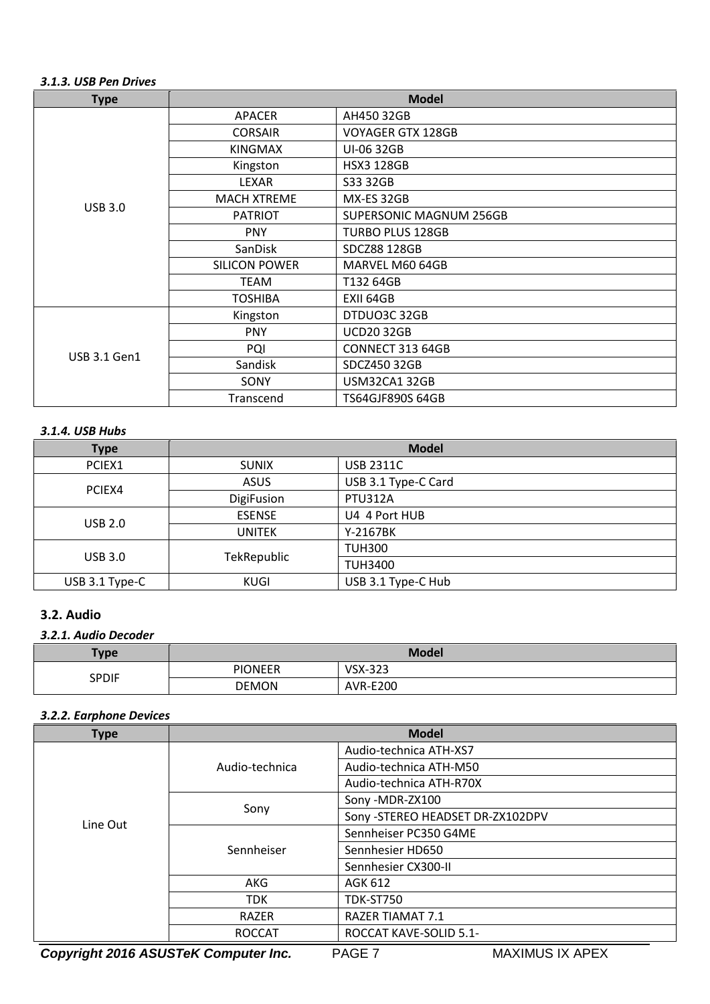#### *3.1.3. USB Pen Drives*

| <b>Type</b>         | <b>Model</b>         |                                |
|---------------------|----------------------|--------------------------------|
|                     | APACER               | AH450 32GB                     |
|                     | <b>CORSAIR</b>       | <b>VOYAGER GTX 128GB</b>       |
|                     | <b>KINGMAX</b>       | UI-06 32GB                     |
|                     | Kingston             | <b>HSX3 128GB</b>              |
|                     | <b>LEXAR</b>         | S33 32GB                       |
| <b>USB 3.0</b>      | <b>MACH XTREME</b>   | MX-ES 32GB                     |
|                     | <b>PATRIOT</b>       | <b>SUPERSONIC MAGNUM 256GB</b> |
|                     | <b>PNY</b>           | <b>TURBO PLUS 128GB</b>        |
|                     | <b>SanDisk</b>       | SDCZ88 128GB                   |
|                     | <b>SILICON POWER</b> | MARVEL M60 64GB                |
|                     | <b>TEAM</b>          | T132 64GB                      |
|                     | <b>TOSHIBA</b>       | EXII 64GB                      |
|                     | Kingston             | DTDUO3C 32GB                   |
| <b>USB 3.1 Gen1</b> | <b>PNY</b>           | <b>UCD20 32GB</b>              |
|                     | PQI                  | CONNECT 313 64GB               |
|                     | Sandisk              | SDCZ450 32GB                   |
|                     | SONY                 | USM32CA132GB                   |
|                     | Transcend            | <b>TS64GJF890S 64GB</b>        |

### *3.1.4. USB Hubs*

| <b>Type</b>    | <b>Model</b>      |                     |
|----------------|-------------------|---------------------|
| PCIEX1         | <b>SUNIX</b>      | <b>USB 2311C</b>    |
| PCIEX4         | <b>ASUS</b>       | USB 3.1 Type-C Card |
|                | <b>DigiFusion</b> | <b>PTU312A</b>      |
| <b>USB 2.0</b> | <b>ESENSE</b>     | U4 4 Port HUB       |
|                | <b>UNITEK</b>     | Y-2167BK            |
| <b>USB 3.0</b> | TekRepublic       | <b>TUH300</b>       |
|                |                   | <b>TUH3400</b>      |
| USB 3.1 Type-C | KUGI              | USB 3.1 Type-C Hub  |

# **3.2. Audio**

# *3.2.1. Audio Decoder*

| <b>Type</b>  | <b>Model</b>   |                 |
|--------------|----------------|-----------------|
| <b>SPDIF</b> | <b>PIONEER</b> | <b>VSX-323</b>  |
|              | <b>DEMON</b>   | <b>AVR-E200</b> |

### *3.2.2. Earphone Devices*

| <b>Type</b> | <b>Model</b>   |                                  |
|-------------|----------------|----------------------------------|
|             | Audio-technica | Audio-technica ATH-XS7           |
|             |                | Audio-technica ATH-M50           |
|             |                | Audio-technica ATH-R70X          |
|             | Sony           | Sony -MDR-ZX100                  |
| Line Out    |                | Sony -STEREO HEADSET DR-ZX102DPV |
|             | Sennheiser     | Sennheiser PC350 G4ME            |
|             |                | Sennhesier HD650                 |
|             |                | Sennhesier CX300-II              |
|             | AKG            | AGK 612                          |
|             | <b>TDK</b>     | <b>TDK-ST750</b>                 |
|             | RAZER          | <b>RAZER TIAMAT 7.1</b>          |
|             | <b>ROCCAT</b>  | ROCCAT KAVE-SOLID 5.1-           |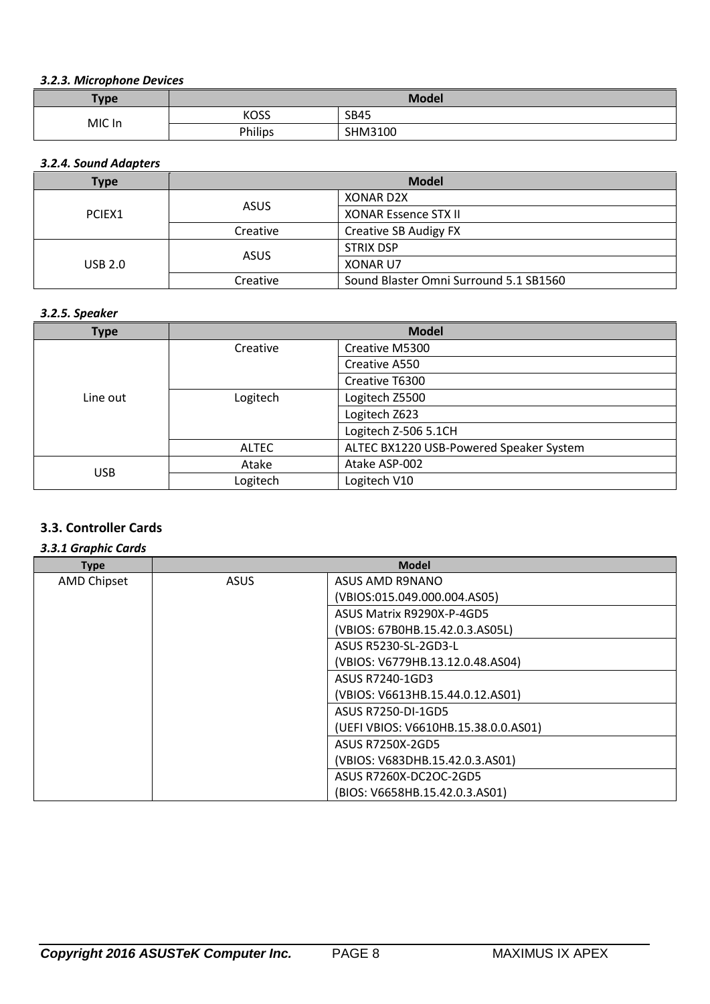### *3.2.3. Microphone Devices*

| Type   | <b>Model</b> |             |
|--------|--------------|-------------|
| MIC In | <b>KOSS</b>  | <b>SB45</b> |
|        | Philips      | SHM3100     |

## *3.2.4. Sound Adapters*

| Type    | <b>Model</b> |                                        |
|---------|--------------|----------------------------------------|
| PCIEX1  | ASUS         | XONAR D2X                              |
|         |              | <b>XONAR Essence STX II</b>            |
|         | Creative     | Creative SB Audigy FX                  |
| USB 2.0 | ASUS         | <b>STRIX DSP</b>                       |
|         |              | <b>XONAR U7</b>                        |
|         | Creative     | Sound Blaster Omni Surround 5.1 SB1560 |

### *3.2.5. Speaker*

| <b>Type</b> | <b>Model</b> |                                         |
|-------------|--------------|-----------------------------------------|
|             | Creative     | Creative M5300                          |
|             |              | Creative A550                           |
|             |              | Creative T6300                          |
| Line out    | Logitech     | Logitech Z5500                          |
|             |              | Logitech Z623                           |
|             |              | Logitech Z-506 5.1CH                    |
|             | <b>ALTEC</b> | ALTEC BX1220 USB-Powered Speaker System |
| <b>USB</b>  | Atake        | Atake ASP-002                           |
|             | Logitech     | Logitech V10                            |

# **3.3. Controller Cards**

#### *3.3.1 Graphic Cards*

| <b>Type</b>        |             | <b>Model</b>                         |
|--------------------|-------------|--------------------------------------|
| <b>AMD Chipset</b> | <b>ASUS</b> | ASUS AMD R9NANO                      |
|                    |             | (VBIOS:015.049.000.004.AS05)         |
|                    |             | ASUS Matrix R9290X-P-4GD5            |
|                    |             | (VBIOS: 67B0HB.15.42.0.3.AS05L)      |
|                    |             | ASUS R5230-SL-2GD3-L                 |
|                    |             | (VBIOS: V6779HB.13.12.0.48.AS04)     |
|                    |             | ASUS R7240-1GD3                      |
|                    |             | (VBIOS: V6613HB.15.44.0.12.AS01)     |
|                    |             | ASUS R7250-DI-1GD5                   |
|                    |             | (UEFI VBIOS: V6610HB.15.38.0.0.AS01) |
|                    |             | ASUS R7250X-2GD5                     |
|                    |             | (VBIOS: V683DHB.15.42.0.3.AS01)      |
|                    |             | ASUS R7260X-DC2OC-2GD5               |
|                    |             | (BIOS: V6658HB.15.42.0.3.AS01)       |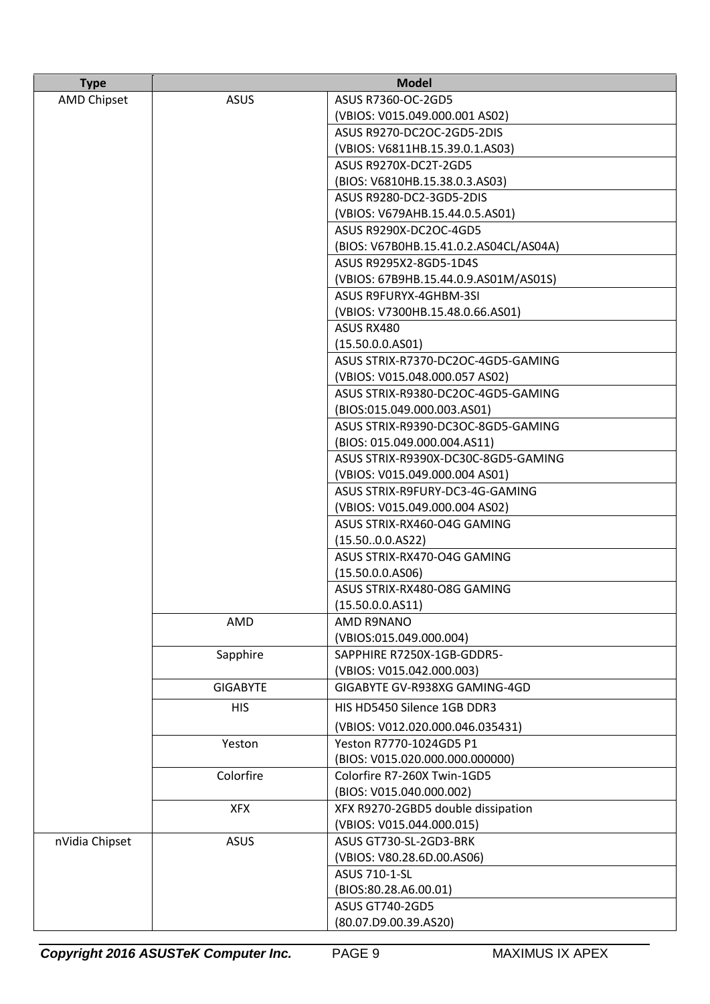| <b>Type</b>        | <b>Model</b>    |                                                                 |
|--------------------|-----------------|-----------------------------------------------------------------|
| <b>AMD Chipset</b> | <b>ASUS</b>     | ASUS R7360-OC-2GD5                                              |
|                    |                 | (VBIOS: V015.049.000.001 AS02)                                  |
|                    |                 | ASUS R9270-DC2OC-2GD5-2DIS                                      |
|                    |                 | (VBIOS: V6811HB.15.39.0.1.AS03)                                 |
|                    |                 | ASUS R9270X-DC2T-2GD5                                           |
|                    |                 | (BIOS: V6810HB.15.38.0.3.AS03)                                  |
|                    |                 | ASUS R9280-DC2-3GD5-2DIS                                        |
|                    |                 | (VBIOS: V679AHB.15.44.0.5.AS01)                                 |
|                    |                 | ASUS R9290X-DC2OC-4GD5                                          |
|                    |                 | (BIOS: V67B0HB.15.41.0.2.AS04CL/AS04A)                          |
|                    |                 | ASUS R9295X2-8GD5-1D4S                                          |
|                    |                 | (VBIOS: 67B9HB.15.44.0.9.AS01M/AS01S)                           |
|                    |                 | ASUS R9FURYX-4GHBM-3SI                                          |
|                    |                 | (VBIOS: V7300HB.15.48.0.66.AS01)                                |
|                    |                 | ASUS RX480                                                      |
|                    |                 | (15.50.0.0. A501)                                               |
|                    |                 | ASUS STRIX-R7370-DC2OC-4GD5-GAMING                              |
|                    |                 | (VBIOS: V015.048.000.057 AS02)                                  |
|                    |                 | ASUS STRIX-R9380-DC2OC-4GD5-GAMING                              |
|                    |                 | (BIOS:015.049.000.003.AS01)                                     |
|                    |                 | ASUS STRIX-R9390-DC3OC-8GD5-GAMING                              |
|                    |                 | (BIOS: 015.049.000.004.AS11)                                    |
|                    |                 | ASUS STRIX-R9390X-DC30C-8GD5-GAMING                             |
|                    |                 | (VBIOS: V015.049.000.004 AS01)                                  |
|                    |                 | ASUS STRIX-R9FURY-DC3-4G-GAMING                                 |
|                    |                 | (VBIOS: V015.049.000.004 AS02)                                  |
|                    |                 | ASUS STRIX-RX460-O4G GAMING                                     |
|                    |                 | (15.500.0.AS22)                                                 |
|                    |                 | ASUS STRIX-RX470-O4G GAMING                                     |
|                    |                 | (15.50.0.0. A506)                                               |
|                    |                 | ASUS STRIX-RX480-O8G GAMING                                     |
|                    | AMD             | (15.50.0.0. A511)<br>AMD R9NANO                                 |
|                    |                 | (VBIOS:015.049.000.004)                                         |
|                    | Sapphire        | SAPPHIRE R7250X-1GB-GDDR5-                                      |
|                    |                 | (VBIOS: V015.042.000.003)                                       |
|                    | <b>GIGABYTE</b> | GIGABYTE GV-R938XG GAMING-4GD                                   |
|                    | <b>HIS</b>      | HIS HD5450 Silence 1GB DDR3                                     |
|                    |                 |                                                                 |
|                    |                 | (VBIOS: V012.020.000.046.035431)                                |
|                    | Yeston          | Yeston R7770-1024GD5 P1                                         |
|                    |                 | (BIOS: V015.020.000.000.000000)                                 |
|                    | Colorfire       | Colorfire R7-260X Twin-1GD5                                     |
|                    | <b>XFX</b>      | (BIOS: V015.040.000.002)                                        |
|                    |                 | XFX R9270-2GBD5 double dissipation<br>(VBIOS: V015.044.000.015) |
| nVidia Chipset     | <b>ASUS</b>     | ASUS GT730-SL-2GD3-BRK                                          |
|                    |                 | (VBIOS: V80.28.6D.00.AS06)                                      |
|                    |                 | ASUS 710-1-SL                                                   |
|                    |                 | (BIOS:80.28.A6.00.01)                                           |
|                    |                 | <b>ASUS GT740-2GD5</b>                                          |
|                    |                 | (80.07.D9.00.39.AS20)                                           |
|                    |                 |                                                                 |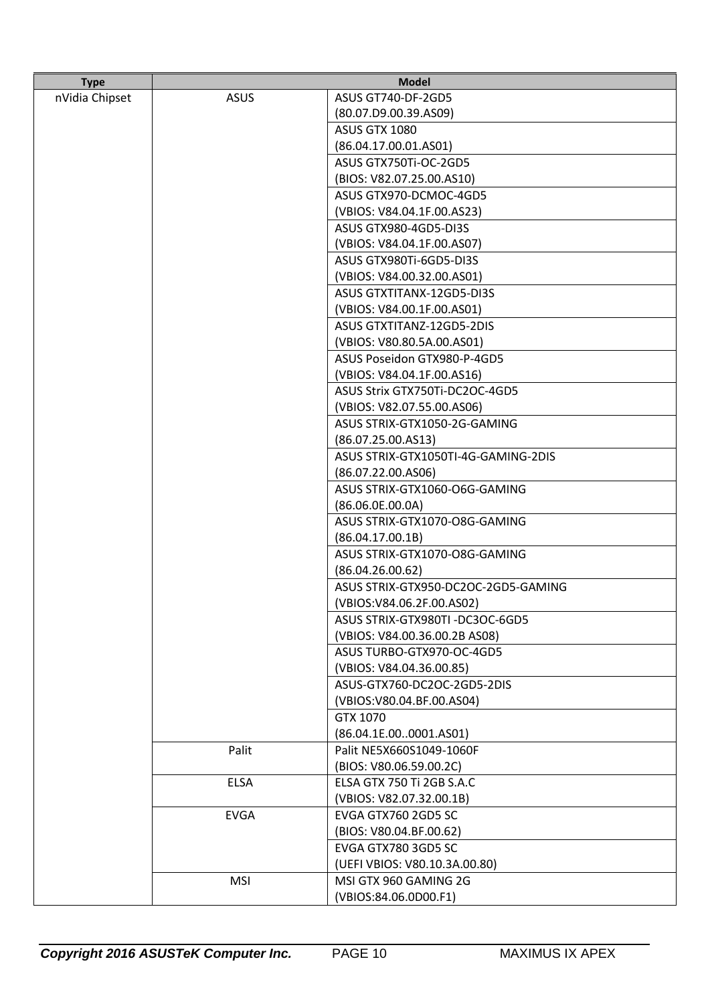| <b>Type</b>    | <b>Model</b> |                                     |
|----------------|--------------|-------------------------------------|
| nVidia Chipset | <b>ASUS</b>  | ASUS GT740-DF-2GD5                  |
|                |              | (80.07.D9.00.39.AS09)               |
|                |              | <b>ASUS GTX 1080</b>                |
|                |              | (86.04.17.00.01. A501)              |
|                |              | ASUS GTX750Ti-OC-2GD5               |
|                |              | (BIOS: V82.07.25.00.AS10)           |
|                |              | ASUS GTX970-DCMOC-4GD5              |
|                |              | (VBIOS: V84.04.1F.00.AS23)          |
|                |              | ASUS GTX980-4GD5-DI3S               |
|                |              | (VBIOS: V84.04.1F.00.AS07)          |
|                |              | ASUS GTX980Ti-6GD5-DI3S             |
|                |              | (VBIOS: V84.00.32.00.AS01)          |
|                |              | ASUS GTXTITANX-12GD5-DI3S           |
|                |              | (VBIOS: V84.00.1F.00.AS01)          |
|                |              | ASUS GTXTITANZ-12GD5-2DIS           |
|                |              | (VBIOS: V80.80.5A.00.AS01)          |
|                |              | ASUS Poseidon GTX980-P-4GD5         |
|                |              | (VBIOS: V84.04.1F.00.AS16)          |
|                |              | ASUS Strix GTX750Ti-DC2OC-4GD5      |
|                |              | (VBIOS: V82.07.55.00.AS06)          |
|                |              | ASUS STRIX-GTX1050-2G-GAMING        |
|                |              | (86.07.25.00.AS13)                  |
|                |              | ASUS STRIX-GTX1050TI-4G-GAMING-2DIS |
|                |              | (86.07.22.00. A506)                 |
|                |              | ASUS STRIX-GTX1060-O6G-GAMING       |
|                |              | (86.06.0E.00.0A)                    |
|                |              | ASUS STRIX-GTX1070-O8G-GAMING       |
|                |              | (86.04.17.00.1B)                    |
|                |              | ASUS STRIX-GTX1070-O8G-GAMING       |
|                |              | (86.04.26.00.62)                    |
|                |              | ASUS STRIX-GTX950-DC2OC-2GD5-GAMING |
|                |              | (VBIOS:V84.06.2F.00.AS02)           |
|                |              | ASUS STRIX-GTX980TI-DC3OC-6GD5      |
|                |              | (VBIOS: V84.00.36.00.2B AS08)       |
|                |              | ASUS TURBO-GTX970-OC-4GD5           |
|                |              | (VBIOS: V84.04.36.00.85)            |
|                |              | ASUS-GTX760-DC2OC-2GD5-2DIS         |
|                |              | (VBIOS: V80.04.BF.00.AS04)          |
|                |              | GTX 1070                            |
|                |              | (86.04.1E.000001.AS01)              |
|                | Palit        | Palit NE5X660S1049-1060F            |
|                |              | (BIOS: V80.06.59.00.2C)             |
|                | <b>ELSA</b>  | ELSA GTX 750 Ti 2GB S.A.C           |
|                |              | (VBIOS: V82.07.32.00.1B)            |
|                | <b>EVGA</b>  | EVGA GTX760 2GD5 SC                 |
|                |              | (BIOS: V80.04.BF.00.62)             |
|                |              | EVGA GTX780 3GD5 SC                 |
|                |              | (UEFI VBIOS: V80.10.3A.00.80)       |
|                | <b>MSI</b>   | MSI GTX 960 GAMING 2G               |
|                |              | (VBIOS:84.06.0D00.F1)               |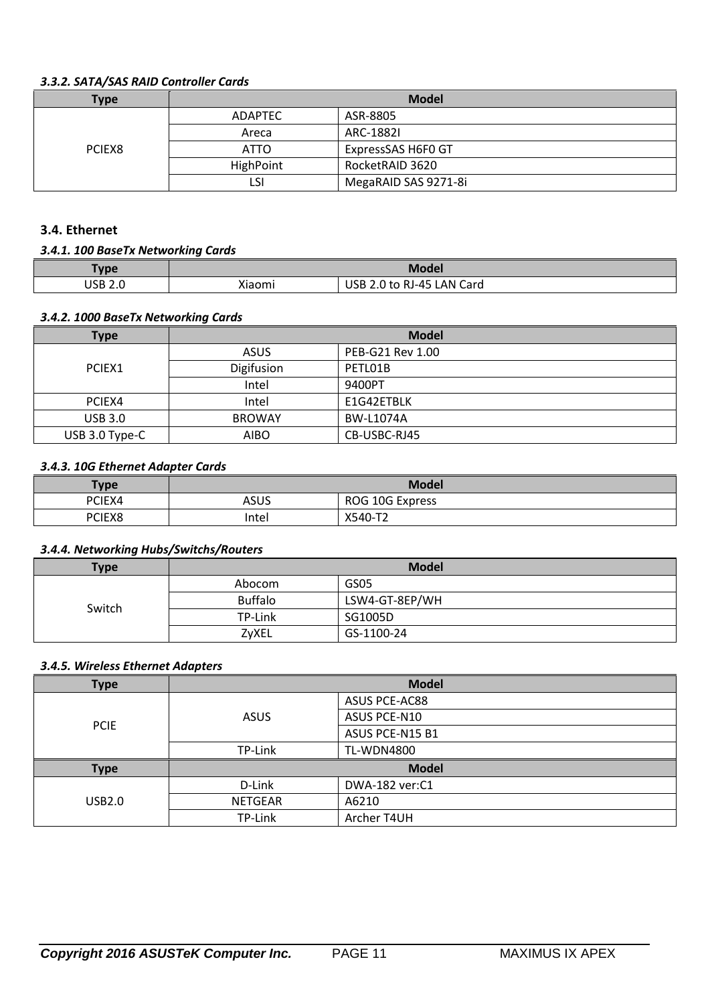### *3.3.2. SATA/SAS RAID Controller Cards*

| Type   | <b>Model</b>   |                      |
|--------|----------------|----------------------|
|        | <b>ADAPTEC</b> | ASR-8805             |
|        | Areca          | ARC-18821            |
| PCIEX8 | <b>ATTO</b>    | ExpressSAS H6F0 GT   |
|        | HighPoint      | RocketRAID 3620      |
|        | LS۱            | MegaRAID SAS 9271-8i |

# **3.4. Ethernet**

#### *3.4.1. 100 BaseTx Networking Cards*

| Type    | Model             |                                       |
|---------|-------------------|---------------------------------------|
| USB 2.0 | $\cdot$<br>Kiaomi | <b>USB 2.0</b><br>ົ to RJ-45 LAN Card |

#### *3.4.2. 1000 BaseTx Networking Cards*

| <b>Type</b>    | <b>Model</b>  |                  |
|----------------|---------------|------------------|
|                | <b>ASUS</b>   | PEB-G21 Rev 1.00 |
| PCIEX1         | Digifusion    | PETL01B          |
|                | Intel         | 9400PT           |
| PCIEX4         | Intel         | E1G42ETBLK       |
| <b>USB 3.0</b> | <b>BROWAY</b> | <b>BW-L1074A</b> |
| USB 3.0 Type-C | <b>AIBO</b>   | CB-USBC-RJ45     |

### *3.4.3. 10G Ethernet Adapter Cards*

| <b>Type</b> | <b>Model</b> |                 |
|-------------|--------------|-----------------|
| PCIEX4      | ASUS         | ROG 10G Express |
| PCIEX8      | Intel        | X540-T2         |

#### *3.4.4. Networking Hubs/Switchs/Routers*

| <b>Type</b> | <b>Model</b>   |                |
|-------------|----------------|----------------|
|             | Abocom         | GS05           |
| Switch      | <b>Buffalo</b> | LSW4-GT-8EP/WH |
|             | TP-Link        | SG1005D        |
|             | ZyXEL          | GS-1100-24     |

#### *3.4.5. Wireless Ethernet Adapters*

| <b>Type</b>   | <b>Model</b>   |                   |
|---------------|----------------|-------------------|
|               | <b>ASUS</b>    | ASUS PCE-AC88     |
|               |                | ASUS PCE-N10      |
| <b>PCIE</b>   |                | ASUS PCE-N15 B1   |
|               | TP-Link        | <b>TL-WDN4800</b> |
| <b>Type</b>   | <b>Model</b>   |                   |
|               | D-Link         | DWA-182 ver:C1    |
| <b>USB2.0</b> | <b>NETGEAR</b> | A6210             |
|               | TP-Link        | Archer T4UH       |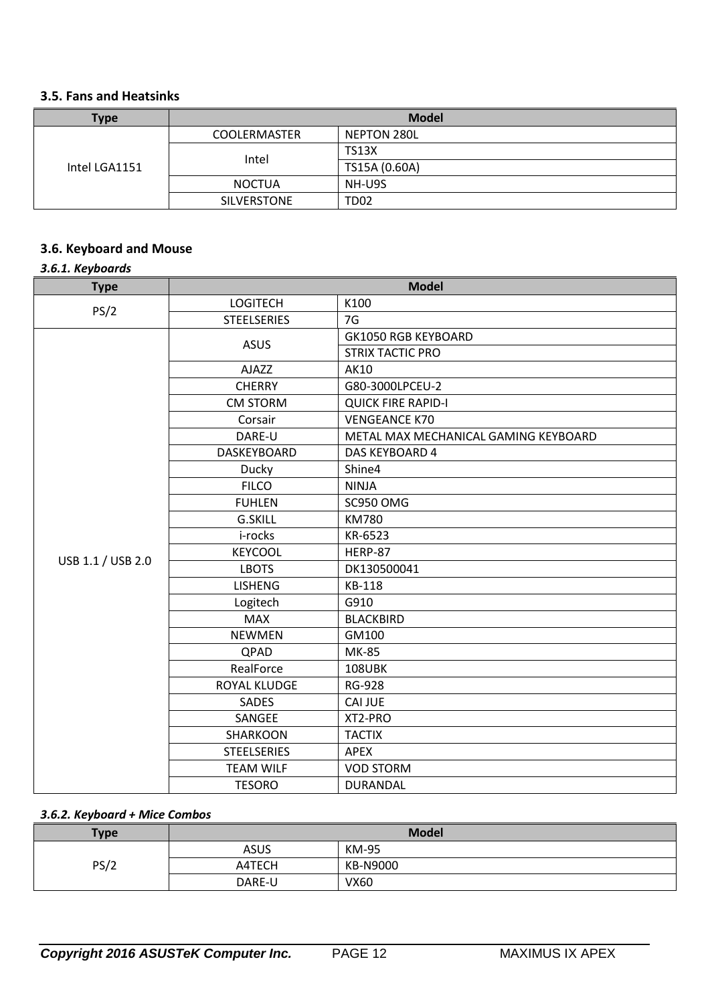# **3.5. Fans and Heatsinks**

| <b>Type</b>   | <b>Model</b>        |               |
|---------------|---------------------|---------------|
|               | <b>COOLERMASTER</b> | NEPTON 280L   |
| Intel LGA1151 | Intel               | <b>TS13X</b>  |
|               |                     | TS15A (0.60A) |
|               | <b>NOCTUA</b>       | NH-U9S        |
|               | SILVERSTONE         | <b>TD02</b>   |

# **3.6. Keyboard and Mouse**

# *3.6.1. Keyboards*

| <b>Type</b>       | <b>Model</b>       |                                      |
|-------------------|--------------------|--------------------------------------|
| PS/2              | <b>LOGITECH</b>    | K100                                 |
|                   | <b>STEELSERIES</b> | 7G                                   |
|                   | <b>ASUS</b>        | <b>GK1050 RGB KEYBOARD</b>           |
|                   |                    | <b>STRIX TACTIC PRO</b>              |
|                   | AJAZZ              | <b>AK10</b>                          |
|                   | <b>CHERRY</b>      | G80-3000LPCEU-2                      |
|                   | <b>CM STORM</b>    | <b>QUICK FIRE RAPID-I</b>            |
|                   | Corsair            | <b>VENGEANCE K70</b>                 |
|                   | DARE-U             | METAL MAX MECHANICAL GAMING KEYBOARD |
|                   | DASKEYBOARD        | DAS KEYBOARD 4                       |
|                   | Ducky              | Shine4                               |
|                   | <b>FILCO</b>       | <b>NINJA</b>                         |
|                   | <b>FUHLEN</b>      | SC950 OMG                            |
|                   | <b>G.SKILL</b>     | <b>KM780</b>                         |
|                   | i-rocks            | KR-6523                              |
| USB 1.1 / USB 2.0 | <b>KEYCOOL</b>     | HERP-87                              |
|                   | <b>LBOTS</b>       | DK130500041                          |
|                   | <b>LISHENG</b>     | KB-118                               |
|                   | Logitech           | G910                                 |
|                   | <b>MAX</b>         | <b>BLACKBIRD</b>                     |
|                   | <b>NEWMEN</b>      | GM100                                |
|                   | QPAD               | <b>MK-85</b>                         |
|                   | RealForce          | <b>108UBK</b>                        |
|                   | ROYAL KLUDGE       | <b>RG-928</b>                        |
|                   | SADES              | <b>CAI JUE</b>                       |
|                   | SANGEE             | XT2-PRO                              |
|                   | SHARKOON           | <b>TACTIX</b>                        |
|                   | <b>STEELSERIES</b> | <b>APEX</b>                          |
|                   | <b>TEAM WILF</b>   | <b>VOD STORM</b>                     |
|                   | <b>TESORO</b>      | <b>DURANDAL</b>                      |

# *3.6.2. Keyboard + Mice Combos*

| <b>Type</b> | <b>Model</b> |             |
|-------------|--------------|-------------|
|             | <b>ASUS</b>  | KM-95       |
| PS/2        | A4TECH       | KB-N9000    |
|             | DARE-U       | <b>VX60</b> |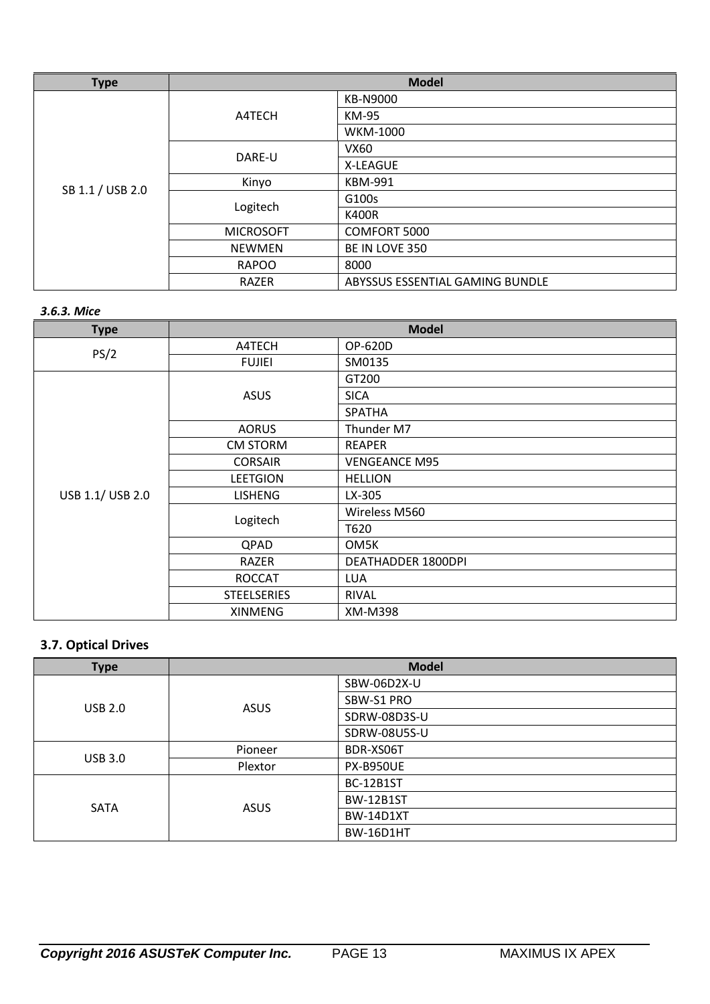| <b>Type</b>      | <b>Model</b>     |                                 |
|------------------|------------------|---------------------------------|
|                  | A4TECH           | KB-N9000                        |
|                  |                  | KM-95                           |
|                  |                  | WKM-1000                        |
|                  | DARE-U           | VX60                            |
|                  |                  | X-LEAGUE                        |
|                  | Kinyo            | <b>KBM-991</b>                  |
| SB 1.1 / USB 2.0 | Logitech         | G100s                           |
|                  |                  | <b>K400R</b>                    |
|                  | <b>MICROSOFT</b> | COMFORT 5000                    |
|                  | <b>NEWMEN</b>    | BE IN LOVE 350                  |
|                  | <b>RAPOO</b>     | 8000                            |
|                  | <b>RAZER</b>     | ABYSSUS ESSENTIAL GAMING BUNDLE |

### *3.6.3. Mice*

| <b>Type</b>      | <b>Model</b>       |                      |
|------------------|--------------------|----------------------|
| PS/2             | A4TECH             | OP-620D              |
|                  | <b>FUJIEI</b>      | SM0135               |
|                  |                    | GT200                |
|                  | <b>ASUS</b>        | <b>SICA</b>          |
|                  |                    | <b>SPATHA</b>        |
|                  | <b>AORUS</b>       | Thunder M7           |
|                  | <b>CM STORM</b>    | <b>REAPER</b>        |
| USB 1.1/ USB 2.0 | <b>CORSAIR</b>     | <b>VENGEANCE M95</b> |
|                  | <b>LEETGION</b>    | <b>HELLION</b>       |
|                  | <b>LISHENG</b>     | LX-305               |
|                  | Logitech           | Wireless M560        |
|                  |                    | T620                 |
|                  | QPAD               | OM5K                 |
|                  | RAZER              | DEATHADDER 1800DPI   |
|                  | <b>ROCCAT</b>      | <b>LUA</b>           |
|                  | <b>STEELSERIES</b> | <b>RIVAL</b>         |
|                  | <b>XINMENG</b>     | XM-M398              |

# **3.7. Optical Drives**

| <b>Type</b>    | <b>Model</b> |                  |
|----------------|--------------|------------------|
|                | <b>ASUS</b>  | SBW-06D2X-U      |
| <b>USB 2.0</b> |              | SBW-S1 PRO       |
|                |              | SDRW-08D3S-U     |
|                |              | SDRW-08U5S-U     |
| <b>USB 3.0</b> | Pioneer      | BDR-XS06T        |
|                | Plextor      | <b>PX-B950UE</b> |
| <b>SATA</b>    | <b>ASUS</b>  | <b>BC-12B1ST</b> |
|                |              | <b>BW-12B1ST</b> |
|                |              | <b>BW-14D1XT</b> |
|                |              | <b>BW-16D1HT</b> |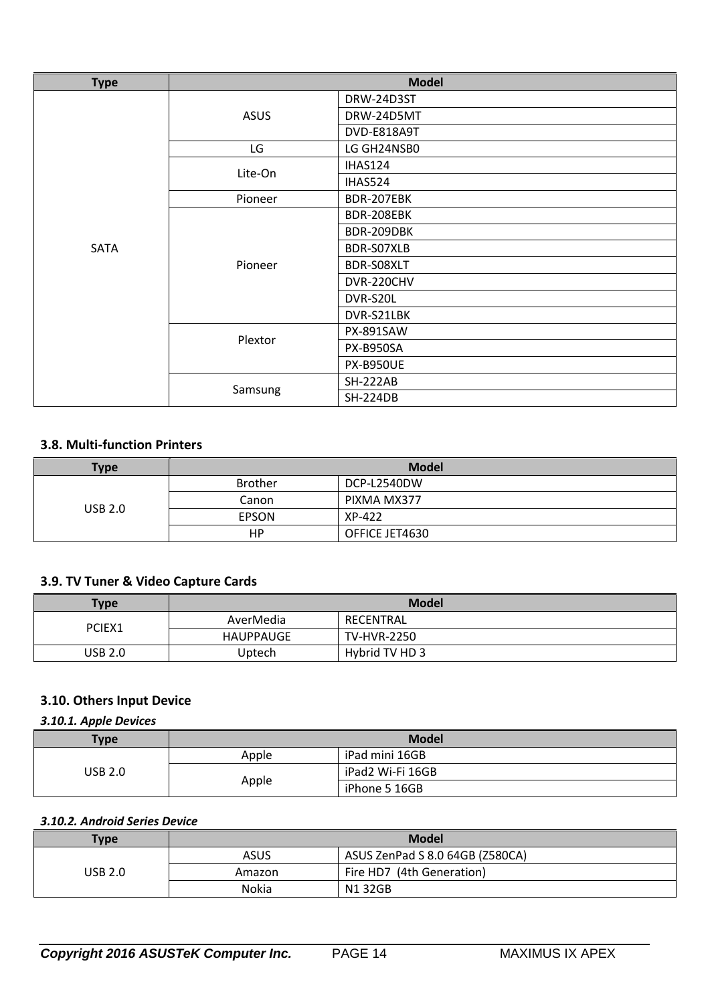| <b>Type</b> | <b>Model</b> |                  |
|-------------|--------------|------------------|
|             |              | DRW-24D3ST       |
|             | <b>ASUS</b>  | DRW-24D5MT       |
|             |              | DVD-E818A9T      |
|             | LG           | LG GH24NSB0      |
|             | Lite-On      | IHAS124          |
|             |              | IHAS524          |
|             | Pioneer      | BDR-207EBK       |
|             |              | BDR-208EBK       |
|             |              | BDR-209DBK       |
| <b>SATA</b> |              | BDR-S07XLB       |
|             | Pioneer      | BDR-S08XLT       |
|             |              | DVR-220CHV       |
|             |              | DVR-S20L         |
|             |              | DVR-S21LBK       |
|             |              | <b>PX-891SAW</b> |
|             | Plextor      | <b>PX-B950SA</b> |
|             |              | <b>PX-B950UE</b> |
|             |              | <b>SH-222AB</b>  |
|             | Samsung      | <b>SH-224DB</b>  |

## **3.8. Multi-function Printers**

| <b>Type</b>    | <b>Model</b>   |                |
|----------------|----------------|----------------|
|                | <b>Brother</b> | DCP-L2540DW    |
| <b>USB 2.0</b> | Canon          | PIXMA MX377    |
|                | <b>EPSON</b>   | XP-422         |
|                | HР             | OFFICE JET4630 |

## **3.9. TV Tuner & Video Capture Cards**

| <b>Type</b>    | <b>Model</b> |                    |
|----------------|--------------|--------------------|
| PCIEX1         | AverMedia    | RECENTRAL          |
|                | HAUPPAUGE    | <b>TV-HVR-2250</b> |
| <b>USB 2.0</b> | Uptech       | Hybrid TV HD 3     |

# **3.10. Others Input Device**

# *3.10.1. Apple Devices*

| $T$ <sub>ype</sub> | <b>Model</b> |                  |
|--------------------|--------------|------------------|
| USB 2.0            | Apple        | iPad mini 16GB   |
|                    |              | iPad2 Wi-Fi 16GB |
|                    | Apple        | iPhone 5 16GB    |

### *3.10.2. Android Series Device*

| <b>Type</b> | <b>Model</b> |                                 |
|-------------|--------------|---------------------------------|
|             | ASUS         | ASUS ZenPad S 8.0 64GB (Z580CA) |
| USB 2.0     | Amazon       | Fire HD7 (4th Generation)       |
|             | Nokia        | N132GB                          |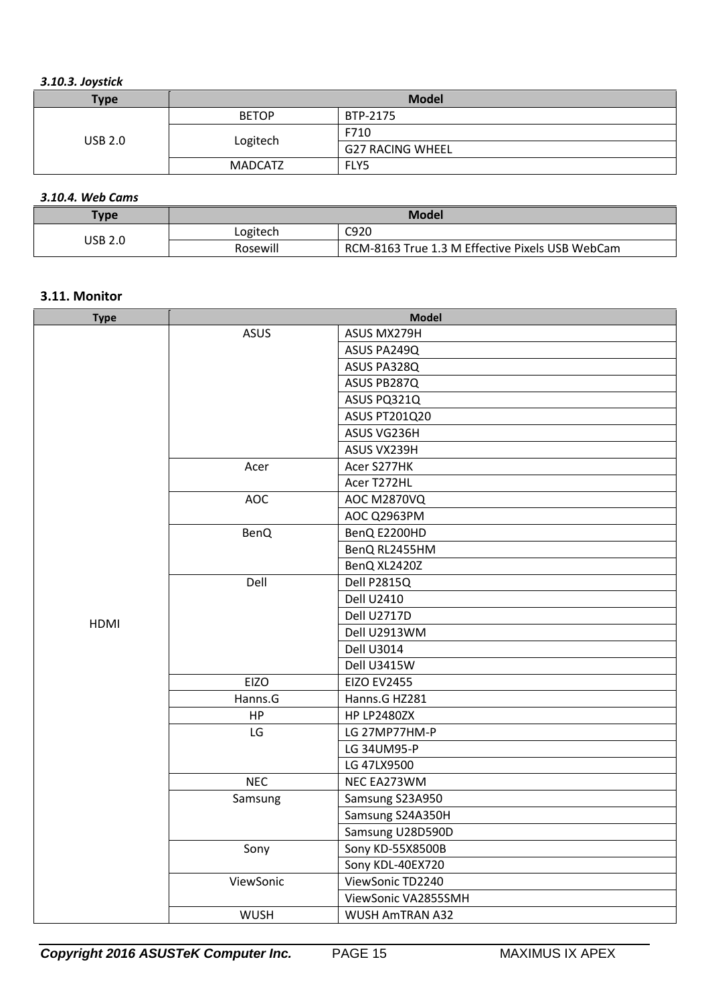|  | 3.10.3. Joystick |
|--|------------------|
|--|------------------|

| <b>Type</b>    | <b>Model</b>   |                         |
|----------------|----------------|-------------------------|
| <b>USB 2.0</b> | <b>BETOP</b>   | BTP-2175                |
|                |                | F710                    |
|                | Logitech       | <b>G27 RACING WHEEL</b> |
|                | <b>MADCATZ</b> | FLY5                    |

# *3.10.4. Web Cams*

| $T$ ype | Model    |                                                 |
|---------|----------|-------------------------------------------------|
| USB 2.0 | Logitech | C920                                            |
|         | Rosewill | RCM-8163 True 1.3 M Effective Pixels USB WebCam |

### **3.11. Monitor**

| <b>Type</b> | <b>Model</b> |                        |
|-------------|--------------|------------------------|
|             | <b>ASUS</b>  | ASUS MX279H            |
|             |              | ASUS PA249Q            |
|             |              | ASUS PA328Q            |
|             |              | ASUS PB287Q            |
|             |              | ASUS PQ321Q            |
|             |              | <b>ASUS PT201Q20</b>   |
|             |              | ASUS VG236H            |
|             |              | ASUS VX239H            |
|             | Acer         | Acer S277HK            |
|             |              | Acer T272HL            |
|             | <b>AOC</b>   | <b>AOC M2870VQ</b>     |
|             |              | AOC Q2963PM            |
|             | <b>BenQ</b>  | BenQ E2200HD           |
|             |              | BenQ RL2455HM          |
|             |              | BenQ XL2420Z           |
|             | Dell         | Dell P2815Q            |
|             |              | <b>Dell U2410</b>      |
| <b>HDMI</b> |              | Dell U2717D            |
|             |              | Dell U2913WM           |
|             |              | <b>Dell U3014</b>      |
|             |              | Dell U3415W            |
|             | <b>EIZO</b>  | <b>EIZO EV2455</b>     |
|             | Hanns.G      | Hanns.G HZ281          |
|             | HP           | <b>HP LP2480ZX</b>     |
|             | LG           | LG 27MP77HM-P          |
|             |              | LG 34UM95-P            |
|             |              | LG 47LX9500            |
|             | <b>NEC</b>   | NEC EA273WM            |
|             | Samsung      | Samsung S23A950        |
|             |              | Samsung S24A350H       |
|             |              | Samsung U28D590D       |
|             | Sony         | Sony KD-55X8500B       |
|             |              | Sony KDL-40EX720       |
|             | ViewSonic    | ViewSonic TD2240       |
|             |              | ViewSonic VA2855SMH    |
|             | <b>WUSH</b>  | <b>WUSH AMTRAN A32</b> |